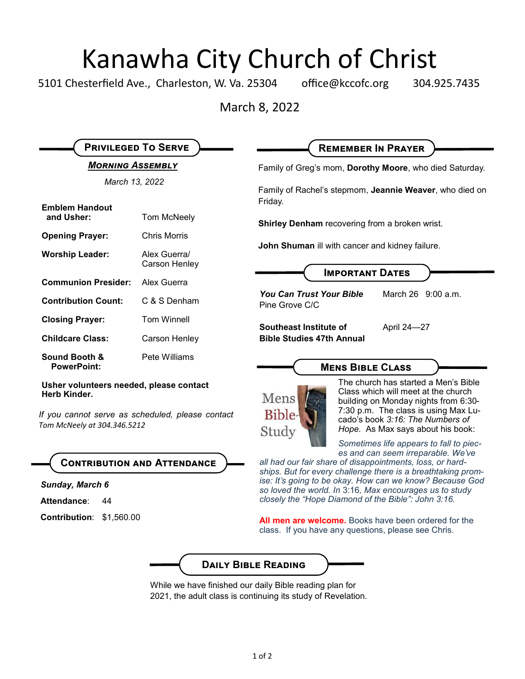## Kanawha City Church of Christ

5101 Chesterfield Ave., Charleston, W. Va. 25304 office@kccofc.org 304.925.7435

March 8, 2022

| <b>PRIVILEGED TO SERVE</b>                                                      |                               | <b>REMEMBER IN PRAYER</b>                                                                                                                                                                                                                                       |
|---------------------------------------------------------------------------------|-------------------------------|-----------------------------------------------------------------------------------------------------------------------------------------------------------------------------------------------------------------------------------------------------------------|
| <b>MORNING ASSEMBLY</b>                                                         |                               | Family of Greg's mom, Dorothy Moore, who died Saturday.                                                                                                                                                                                                         |
| March 13, 2022                                                                  |                               | Family of Rachel's stepmom, Jeannie Weaver, who died on<br>Friday.                                                                                                                                                                                              |
| <b>Emblem Handout</b><br>and Usher:                                             | Tom McNeely                   | <b>Shirley Denham</b> recovering from a broken wrist.<br><b>John Shuman</b> ill with cancer and kidney failure.                                                                                                                                                 |
| <b>Opening Prayer:</b>                                                          | <b>Chris Morris</b>           |                                                                                                                                                                                                                                                                 |
| <b>Worship Leader:</b>                                                          | Alex Guerra/<br>Carson Henley |                                                                                                                                                                                                                                                                 |
| <b>Communion Presider:</b>                                                      | Alex Guerra                   | <b>IMPORTANT DATES</b>                                                                                                                                                                                                                                          |
| <b>Contribution Count:</b>                                                      | C & S Denham                  | <b>You Can Trust Your Bible</b><br>March 26 9:00 a.m.<br>Pine Grove C/C                                                                                                                                                                                         |
| <b>Closing Prayer:</b>                                                          | <b>Tom Winnell</b>            | Southeast Institute of<br>April 24-27                                                                                                                                                                                                                           |
| <b>Childcare Class:</b>                                                         | Carson Henley                 | <b>Bible Studies 47th Annual</b>                                                                                                                                                                                                                                |
| Sound Booth &<br><b>PowerPoint:</b>                                             | Pete Williams                 | <b>MENS BIBLE CLASS</b>                                                                                                                                                                                                                                         |
| Usher volunteers needed, please contact<br><b>Herb Kinder.</b>                  |                               | The church has started a Men's Bible<br>Class which will meet at the church<br>Mens<br>building on Monday nights from 6:30-<br>7:30 p.m. The class is using Max Lu-<br>Bible-<br>cado's book 3:16: The Numbers of<br>Hope. As Max says about his book:<br>Study |
| If you cannot serve as scheduled, please contact<br>Tom McNeely at 304.346.5212 |                               |                                                                                                                                                                                                                                                                 |

### **Contribution and Attendance**

*Sunday, March 6*

- **Attendance**: 44
- **Contribution**: \$1,560.00



*ships. But for every challenge there is a breathtaking promise: It's going to be okay. How can we know? Because God so loved the world. In* 3:16*, Max encourages us to study closely the "Hope Diamond of the Bible": John 3:16.*

**All men are welcome.** Books have been ordered for the class. If you have any questions, please see Chris.



While we have finished our daily Bible reading plan for 2021, the adult class is continuing its study of Revelation.